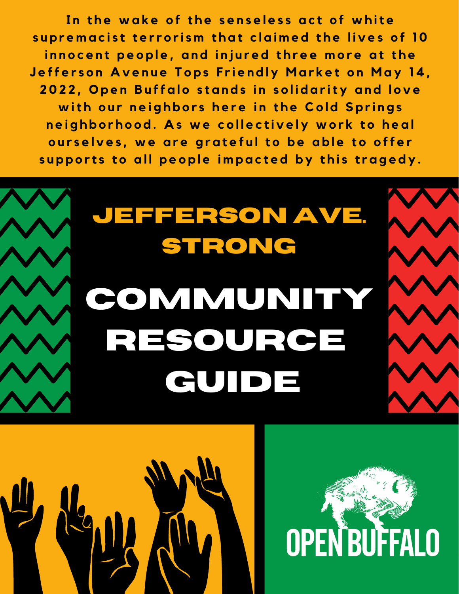In the wake of the senseless act of white supremacist terrorism that claimed the lives of 10 innocent people, and injured three more at the Jefferson Avenue Tops Friendly Market on May 14, 2022, Open Buffalo stands in solidarity and love with our neighbors here in the Cold Springs neighborhood. As we collectively work to heal ourselves, we are grateful to be able to offer supports to all people impacted by this tragedy.

# **Community Resource guide Jefferson Ave. Strong**



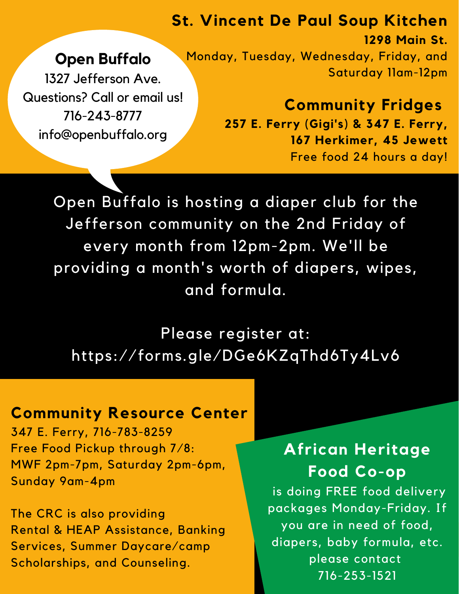#### **St. Vincent De Paul Soup Kitchen**

## **Open Buffalo**

1327 Jefferson Ave. Questions? Call or email us! 716-243-8777 info@openbuffalo.org

**1298 Main St.** Monday, Tuesday, Wednesday, Friday, and Saturday 11am-12pm

> **Community Fridges 257 E. Ferry (Gigi's) & 347 E. Ferry, 167 Herkimer, 45 Jewett** Free food 24 hours a day!

Open Buffalo is hosting a diaper club for the Jefferson community on the 2nd Friday of every month from 12pm-2pm. We'll be providing a month's worth of diapers, wipes, and formula.

Please register at: <https://forms.gle/DGe6KZqThd6Ty4Lv6>

### **Community Resource Center**

347 E. Ferry, 716-783-8259 Free Food Pickup through 7/8: MWF 2pm-7pm, Saturday 2pm-6pm, Sunday 9am-4pm

The CRC is also providing Rental & HEAP Assistance, Banking Services, Summer Daycare/camp Scholarships, and Counseling.

## **African Heritage Food Co-op**

is doing FREE food delivery packages Monday-Friday. If you are in need of food, diapers, baby formula, etc. please contact 716-253-1521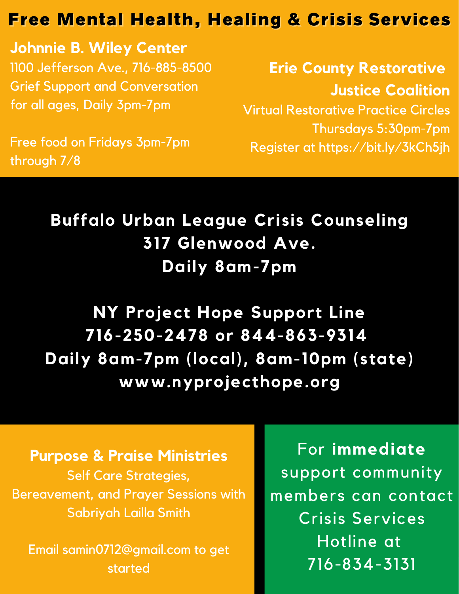## Free Mental Health, Healing & Crisis Services

**Johnnie B. Wiley Center** 1100 Jefferson Ave., 716-885-8500 Grief Support and Conversation for all ages, Daily 3pm-7pm

**Erie County Restorative Justice Coalition** Virtual Restorative Practice Circles Thursdays 5:30pm-7pm Register at https://bit.ly/3kCh5jh

Free food on Fridays 3pm-7pm through 7/8

> **Buffalo Urban League Crisis Counseling 317 Glenwood Ave. Daily 8am-7pm**

**NY Project Hope Support Line 716-250-2478 or 844-863-9314 Daily 8am-7pm (local), 8am-10pm (state) www.nyprojecthope.org**

**Purpose & Praise Ministries** Self Care Strategies, Bereavement, and Prayer Sessions with Sabriyah Lailla Smith

Email samin0712@gmail.com to get started

For **immediate** support community members can contact Crisis Services Hotline at 716-834-3131